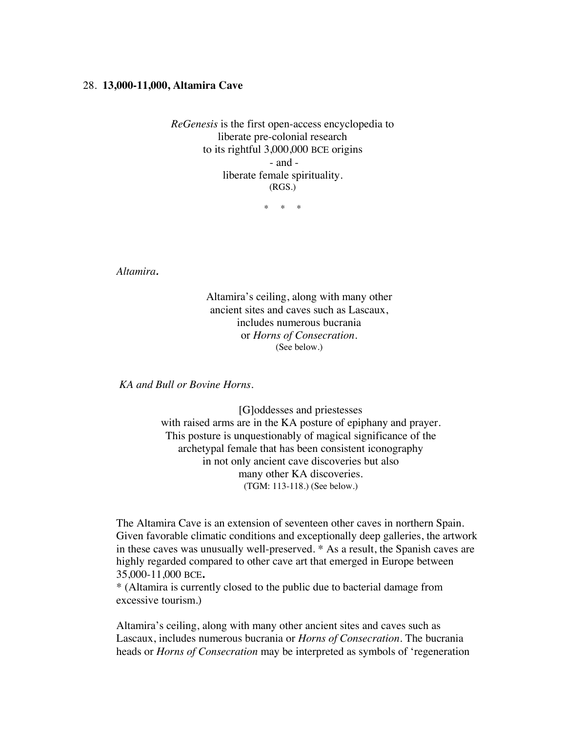## 28. **13,000-11,000, Altamira Cave**

*ReGenesis* is the first open-access encyclopedia to liberate pre-colonial research to its rightful 3,000,000 BCE origins - and liberate female spirituality. (RGS.)

\* \* \*

*Altamira.* 

Altamira's ceiling, along with many other ancient sites and caves such as Lascaux, includes numerous bucrania or *Horns of Consecration.* (See below.)

*KA and Bull or Bovine Horns.* 

[G]oddesses and priestesses with raised arms are in the KA posture of epiphany and prayer. This posture is unquestionably of magical significance of the archetypal female that has been consistent iconography in not only ancient cave discoveries but also many other KA discoveries*.* (TGM: 113-118.) (See below.)

The Altamira Cave is an extension of seventeen other caves in northern Spain. Given favorable climatic conditions and exceptionally deep galleries, the artwork in these caves was unusually well-preserved. \* As a result, the Spanish caves are highly regarded compared to other cave art that emerged in Europe between 35,000-11,000 BCE**.**

\* (Altamira is currently closed to the public due to bacterial damage from excessive tourism.)

Altamira's ceiling, along with many other ancient sites and caves such as Lascaux, includes numerous bucrania or *Horns of Consecration.* The bucrania heads or *Horns of Consecration* may be interpreted as symbols of 'regeneration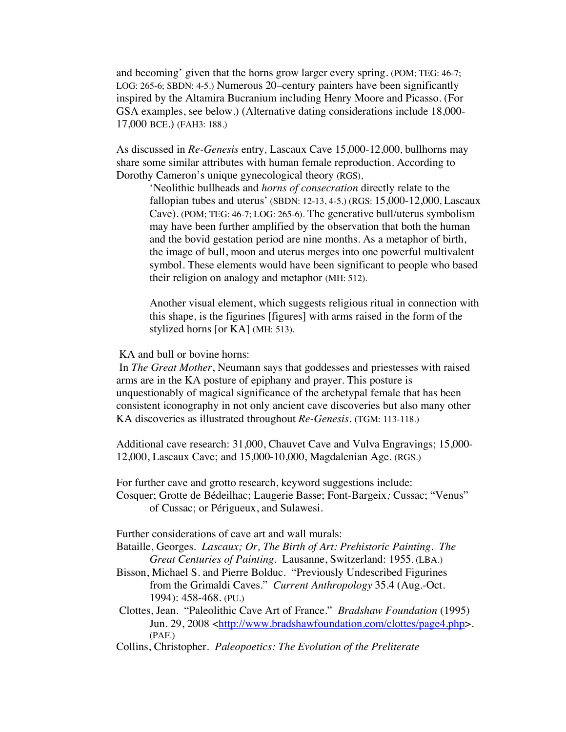and becoming' given that the horns grow larger every spring. (POM; TEG: 46-7; LOG: 265-6; SBDN: 4-5.) Numerous 20–century painters have been significantly inspired by the Altamira Bucranium including Henry Moore and Picasso. (For GSA examples, see below.) (Alternative dating considerations include 18,000- 17,000 BCE.) (FAH3: 188.)

As discussed in *Re-Genesis* entry*,* Lascaux Cave 15,000-12,000, bullhorns may share some similar attributes with human female reproduction. According to Dorothy Cameron's unique gynecological theory (RGS),

'Neolithic bullheads and *horns of consecration* directly relate to the fallopian tubes and uterus' (SBDN: 12-13, 4-5.) (RGS: 15,000-12,000, Lascaux Cave). (POM; TEG: 46-7; LOG: 265-6). The generative bull/uterus symbolism may have been further amplified by the observation that both the human and the bovid gestation period are nine months. As a metaphor of birth, the image of bull, moon and uterus merges into one powerful multivalent symbol. These elements would have been significant to people who based their religion on analogy and metaphor (MH: 512).

Another visual element, which suggests religious ritual in connection with this shape, is the figurines [figures] with arms raised in the form of the stylized horns [or KA] (MH: 513).

KA and bull or bovine horns:

In *The Great Mother*, Neumann says that goddesses and priestesses with raised arms are in the KA posture of epiphany and prayer. This posture is unquestionably of magical significance of the archetypal female that has been consistent iconography in not only ancient cave discoveries but also many other KA discoveries as illustrated throughout *Re-Genesis.* (TGM: 113-118.)

Additional cave research: 31,000, Chauvet Cave and Vulva Engravings; 15,000- 12,000, Lascaux Cave; and 15,000-10,000, Magdalenian Age. (RGS.)

For further cave and grotto research, keyword suggestions include:

Cosquer; Grotte de Bédeilhac; Laugerie Basse; Font-Bargeix*;* Cussac; "Venus" of Cussac; or Périgueux, and Sulawesi.

Further considerations of cave art and wall murals:

Bataille, Georges. *Lascaux; Or, The Birth of Art: Prehistoric Painting. The Great Centuries of Painting.* Lausanne, Switzerland: 1955. (LBA.)

- Bisson, Michael S. and Pierre Bolduc. "Previously Undescribed Figurines from the Grimaldi Caves." *Current Anthropology* 35.4 (Aug.-Oct. 1994): 458-468. (PU.)
- Clottes, Jean. "Paleolithic Cave Art of France." *Bradshaw Foundation* (1995) Jun. 29, 2008 <http://www.bradshawfoundation.com/clottes/page4.php>. (PAF.)
- Collins, Christopher. *Paleopoetics: The Evolution of the Preliterate*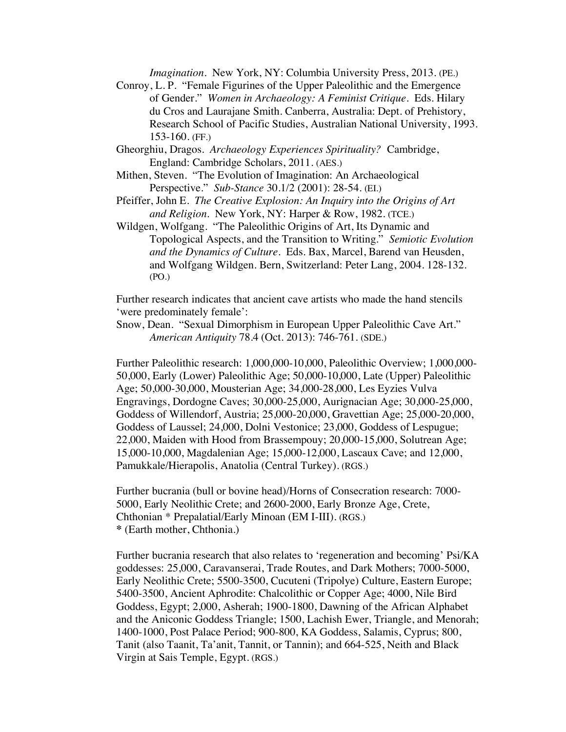*Imagination.* New York, NY: Columbia University Press, 2013. (PE.)

- Conroy, L. P. "Female Figurines of the Upper Paleolithic and the Emergence of Gender." *Women in Archaeology: A Feminist Critique*. Eds. Hilary du Cros and Laurajane Smith. Canberra, Australia: Dept. of Prehistory, Research School of Pacific Studies, Australian National University, 1993. 153-160. (FF.)
- Gheorghiu, Dragos. *Archaeology Experiences Spirituality?* Cambridge, England: Cambridge Scholars, 2011. (AES.)
- Mithen, Steven. "The Evolution of Imagination: An Archaeological Perspective." *Sub-Stance* 30.1/2 (2001): 28-54. (EI.)
- Pfeiffer, John E. *The Creative Explosion: An Inquiry into the Origins of Art and Religion.* New York, NY: Harper & Row, 1982. (TCE.)
- Wildgen, Wolfgang. "The Paleolithic Origins of Art, Its Dynamic and Topological Aspects, and the Transition to Writing." *Semiotic Evolution and the Dynamics of Culture.* Eds. Bax, Marcel, Barend van Heusden, and Wolfgang Wildgen. Bern, Switzerland: Peter Lang, 2004. 128-132. (PO.)

Further research indicates that ancient cave artists who made the hand stencils 'were predominately female':

Snow, Dean. "Sexual Dimorphism in European Upper Paleolithic Cave Art." *American Antiquity* 78.4 (Oct. 2013): 746-761. (SDE.)

Further Paleolithic research: 1,000,000-10,000, Paleolithic Overview; 1,000,000- 50,000, Early (Lower) Paleolithic Age; 50,000-10,000, Late (Upper) Paleolithic Age; 50,000-30,000, Mousterian Age; 34,000-28,000, Les Eyzies Vulva Engravings, Dordogne Caves; 30,000-25,000, Aurignacian Age; 30,000-25,000, Goddess of Willendorf, Austria; 25,000-20,000, Gravettian Age; 25,000-20,000, Goddess of Laussel; 24,000, Dolni Vestonice; 23,000, Goddess of Lespugue; 22,000, Maiden with Hood from Brassempouy; 20,000-15,000, Solutrean Age; 15,000-10,000, Magdalenian Age; 15,000-12,000, Lascaux Cave; and 12,000, Pamukkale/Hierapolis, Anatolia (Central Turkey). (RGS.)

Further bucrania (bull or bovine head)/Horns of Consecration research: 7000- 5000, Early Neolithic Crete; and 2600-2000, Early Bronze Age, Crete, Chthonian \* Prepalatial/Early Minoan (EM I-III). (RGS.) **\*** (Earth mother, Chthonia.)

Further bucrania research that also relates to 'regeneration and becoming' Psi/KA goddesses: 25,000, Caravanserai, Trade Routes, and Dark Mothers; 7000-5000, Early Neolithic Crete; 5500-3500, Cucuteni (Tripolye) Culture, Eastern Europe; 5400-3500, Ancient Aphrodite: Chalcolithic or Copper Age; 4000, Nile Bird Goddess, Egypt; 2,000, Asherah; 1900-1800, Dawning of the African Alphabet and the Aniconic Goddess Triangle; 1500, Lachish Ewer, Triangle, and Menorah; 1400-1000, Post Palace Period; 900-800, KA Goddess, Salamis, Cyprus; 800, Tanit (also Taanit, Ta'anit, Tannit, or Tannin); and 664-525, Neith and Black Virgin at Sais Temple, Egypt. (RGS.)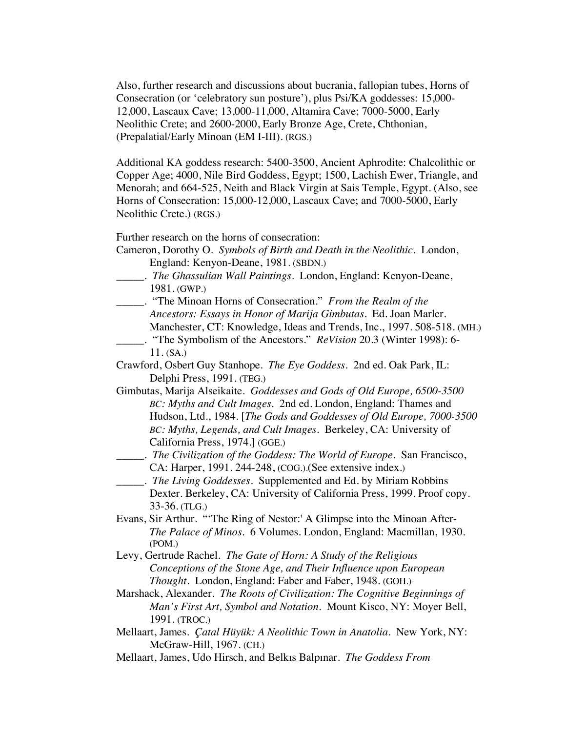Also, further research and discussions about bucrania, fallopian tubes, Horns of Consecration (or 'celebratory sun posture'), plus Psi/KA goddesses: 15,000- 12,000, Lascaux Cave; 13,000-11,000, Altamira Cave; 7000-5000, Early Neolithic Crete; and 2600-2000, Early Bronze Age, Crete, Chthonian, (Prepalatial/Early Minoan (EM I-III). (RGS.)

Additional KA goddess research: 5400-3500, Ancient Aphrodite: Chalcolithic or Copper Age; 4000, Nile Bird Goddess, Egypt; 1500, Lachish Ewer, Triangle, and Menorah; and 664-525, Neith and Black Virgin at Sais Temple, Egypt. (Also, see Horns of Consecration: 15,000-12,000, Lascaux Cave; and 7000-5000, Early Neolithic Crete.) (RGS.)

Further research on the horns of consecration:

- Cameron, Dorothy O. *Symbols of Birth and Death in the Neolithic*. London, England: Kenyon-Deane, 1981. (SBDN.)
- \_\_\_\_\_. *The Ghassulian Wall Paintings*. London, England: Kenyon-Deane, 1981. (GWP.)
- \_\_\_\_\_. "The Minoan Horns of Consecration." *From the Realm of the Ancestors: Essays in Honor of Marija Gimbutas*. Ed. Joan Marler. Manchester, CT: Knowledge, Ideas and Trends, Inc., 1997. 508-518. (MH.)
- \_\_\_\_\_. "The Symbolism of the Ancestors." *ReVision* 20.3 (Winter 1998): 6- 11. (SA.)
- Crawford, Osbert Guy Stanhope. *The Eye Goddess*. 2nd ed. Oak Park, IL: Delphi Press, 1991. (TEG.)
- Gimbutas, Marija Alseikaite. *Goddesses and Gods of Old Europe, 6500-3500 BC: Myths and Cult Images*. 2nd ed. London, England: Thames and Hudson, Ltd., 1984. [*The Gods and Goddesses of Old Europe, 7000-3500 BC: Myths, Legends, and Cult Images.* Berkeley, CA: University of California Press, 1974.] (GGE.)
	- \_\_\_\_\_. *The Civilization of the Goddess: The World of Europe*. San Francisco, CA: Harper, 1991. 244-248, (COG.).(See extensive index.)
- \_\_\_\_\_. *The Living Goddesses*. Supplemented and Ed. by Miriam Robbins Dexter. Berkeley, CA: University of California Press, 1999. Proof copy. 33-36. (TLG.)
- Evans, Sir Arthur. "'The Ring of Nestor:' A Glimpse into the Minoan After-*The Palace of Minos.* 6 Volumes. London, England: Macmillan, 1930. (POM.)
- Levy, Gertrude Rachel. *The Gate of Horn: A Study of the Religious Conceptions of the Stone Age, and Their Influence upon European Thought.* London, England: Faber and Faber, 1948. (GOH.)
- Marshack, Alexander. *The Roots of Civilization: The Cognitive Beginnings of Man's First Art, Symbol and Notation.* Mount Kisco, NY: Moyer Bell, 1991. (TROC.)
- Mellaart, James. *Çatal Hüyük: A Neolithic Town in Anatolia*. New York, NY: McGraw-Hill, 1967. (CH.)
- Mellaart, James, Udo Hirsch, and Belkıs Balpınar. *The Goddess From*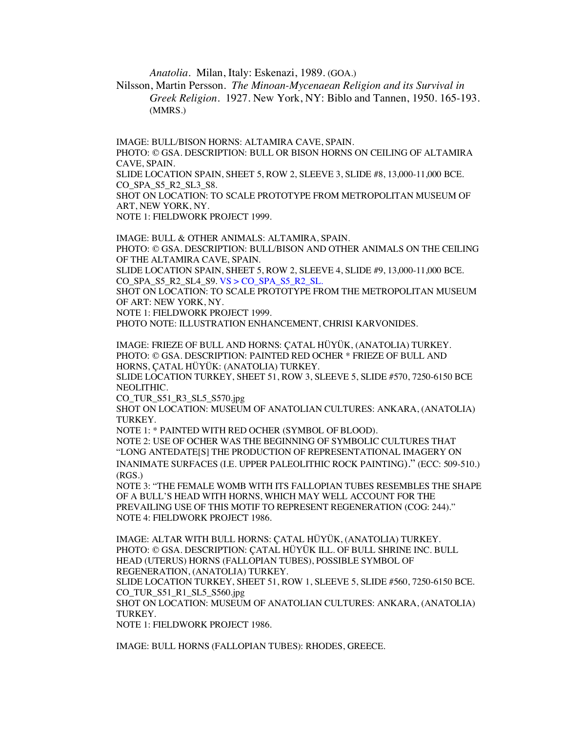*Anatolia*. Milan, Italy: Eskenazi, 1989. (GOA.)

Nilsson, Martin Persson*. The Minoan-Mycenaean Religion and its Survival in Greek Religion.* 1927. New York, NY: Biblo and Tannen, 1950. 165-193. (MMRS.)

IMAGE: BULL/BISON HORNS: ALTAMIRA CAVE, SPAIN. PHOTO: © GSA. DESCRIPTION: BULL OR BISON HORNS ON CEILING OF ALTAMIRA CAVE, SPAIN. SLIDE LOCATION SPAIN, SHEET 5, ROW 2, SLEEVE 3, SLIDE #8, 13,000-11,000 BCE. CO\_SPA\_S5\_R2\_SL3\_S8. SHOT ON LOCATION: TO SCALE PROTOTYPE FROM METROPOLITAN MUSEUM OF ART, NEW YORK, NY.

NOTE 1: FIELDWORK PROJECT 1999.

IMAGE: BULL & OTHER ANIMALS: ALTAMIRA, SPAIN. PHOTO: © GSA. DESCRIPTION: BULL/BISON AND OTHER ANIMALS ON THE CEILING OF THE ALTAMIRA CAVE, SPAIN.

SLIDE LOCATION SPAIN, SHEET 5, ROW 2, SLEEVE 4, SLIDE #9, 13,000-11,000 BCE. CO\_SPA\_S5\_R2\_SL4\_S9. VS > CO\_SPA\_S5\_R2\_SL.

SHOT ON LOCATION: TO SCALE PROTOTYPE FROM THE METROPOLITAN MUSEUM OF ART: NEW YORK, NY.

NOTE 1: FIELDWORK PROJECT 1999.

PHOTO NOTE: ILLUSTRATION ENHANCEMENT, CHRISI KARVONIDES.

IMAGE: FRIEZE OF BULL AND HORNS: ÇATAL HÜYÜK, (ANATOLIA) TURKEY. PHOTO: © GSA. DESCRIPTION: PAINTED RED OCHER \* FRIEZE OF BULL AND HORNS, ÇATAL HÜYÜK: (ANATOLIA) TURKEY.

SLIDE LOCATION TURKEY, SHEET 51, ROW 3, SLEEVE 5, SLIDE #570, 7250-6150 BCE NEOLITHIC.

CO\_TUR\_S51\_R3\_SL5\_S570.jpg

SHOT ON LOCATION: MUSEUM OF ANATOLIAN CULTURES: ANKARA, (ANATOLIA) TURKEY.

NOTE 1: \* PAINTED WITH RED OCHER (SYMBOL OF BLOOD).

NOTE 2: USE OF OCHER WAS THE BEGINNING OF SYMBOLIC CULTURES THAT "LONG ANTEDATE[S] THE PRODUCTION OF REPRESENTATIONAL IMAGERY ON INANIMATE SURFACES (I.E. UPPER PALEOLITHIC ROCK PAINTING)." (ECC: 509-510.) (RGS.)

NOTE 3: "THE FEMALE WOMB WITH ITS FALLOPIAN TUBES RESEMBLES THE SHAPE OF A BULL'S HEAD WITH HORNS, WHICH MAY WELL ACCOUNT FOR THE PREVAILING USE OF THIS MOTIF TO REPRESENT REGENERATION (COG: 244)." NOTE 4: FIELDWORK PROJECT 1986.

IMAGE: ALTAR WITH BULL HORNS: ÇATAL HÜYÜK, (ANATOLIA) TURKEY. PHOTO: © GSA. DESCRIPTION: ÇATAL HÜYÜK ILL. OF BULL SHRINE INC. BULL HEAD (UTERUS) HORNS (FALLOPIAN TUBES), POSSIBLE SYMBOL OF REGENERATION, (ANATOLIA) TURKEY.

SLIDE LOCATION TURKEY, SHEET 51, ROW 1, SLEEVE 5, SLIDE #560, 7250-6150 BCE. CO\_TUR\_S51\_R1\_SL5\_S560.jpg

SHOT ON LOCATION: MUSEUM OF ANATOLIAN CULTURES: ANKARA, (ANATOLIA) TURKEY.

NOTE 1: FIELDWORK PROJECT 1986.

IMAGE: BULL HORNS (FALLOPIAN TUBES): RHODES, GREECE.